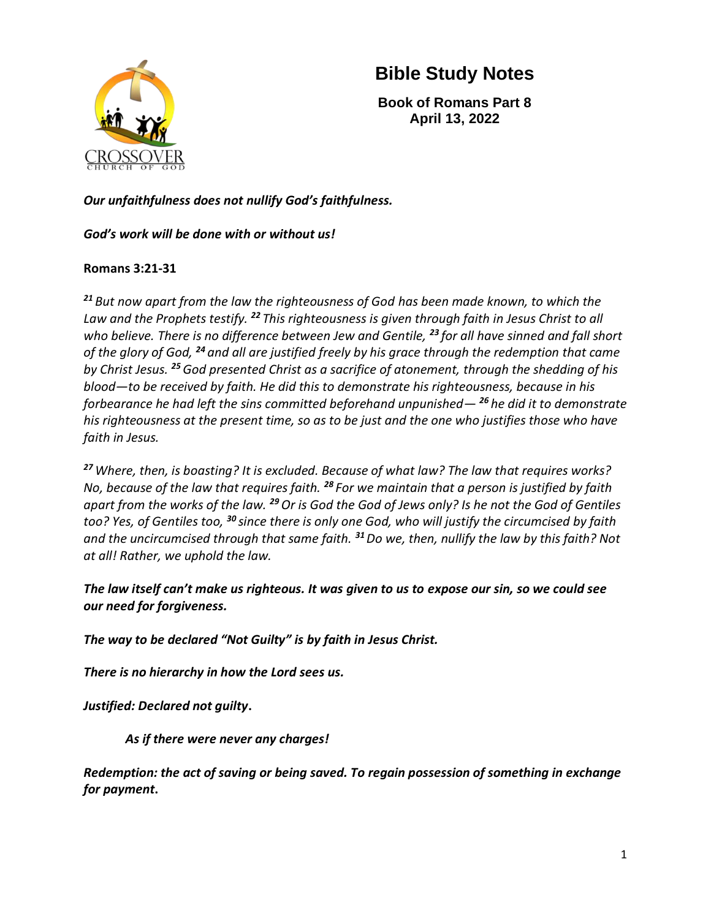

**Book of Romans Part 8 April 13, 2022**

*Our unfaithfulness does not nullify God's faithfulness.*

#### *God's work will be done with or without us!*

### **Romans 3:21-31**

*<sup>21</sup> But now apart from the law the righteousness of God has been made known, to which the Law and the Prophets testify. <sup>22</sup> This righteousness is given through faith in Jesus Christ to all who believe. There is no difference between Jew and Gentile, <sup>23</sup> for all have sinned and fall short of the glory of God, <sup>24</sup> and all are justified freely by his grace through the redemption that came by Christ Jesus. <sup>25</sup>God presented Christ as a sacrifice of atonement, through the shedding of his blood—to be received by faith. He did this to demonstrate his righteousness, because in his forbearance he had left the sins committed beforehand unpunished— <sup>26</sup> he did it to demonstrate his righteousness at the present time, so as to be just and the one who justifies those who have faith in Jesus.*

*<sup>27</sup>Where, then, is boasting? It is excluded. Because of what law? The law that requires works? No, because of the law that requires faith. <sup>28</sup> For we maintain that a person is justified by faith apart from the works of the law. <sup>29</sup>Or is God the God of Jews only? Is he not the God of Gentiles too? Yes, of Gentiles too, <sup>30</sup> since there is only one God, who will justify the circumcised by faith and the uncircumcised through that same faith. <sup>31</sup>Do we, then, nullify the law by this faith? Not at all! Rather, we uphold the law.*

*The law itself can't make us righteous. It was given to us to expose our sin, so we could see our need for forgiveness.*

*The way to be declared "Not Guilty" is by faith in Jesus Christ.* 

*There is no hierarchy in how the Lord sees us.*

*Justified: Declared not guilty***.** 

*As if there were never any charges!*

*Redemption: the act of saving or being saved. To regain possession of something in exchange for payment***.**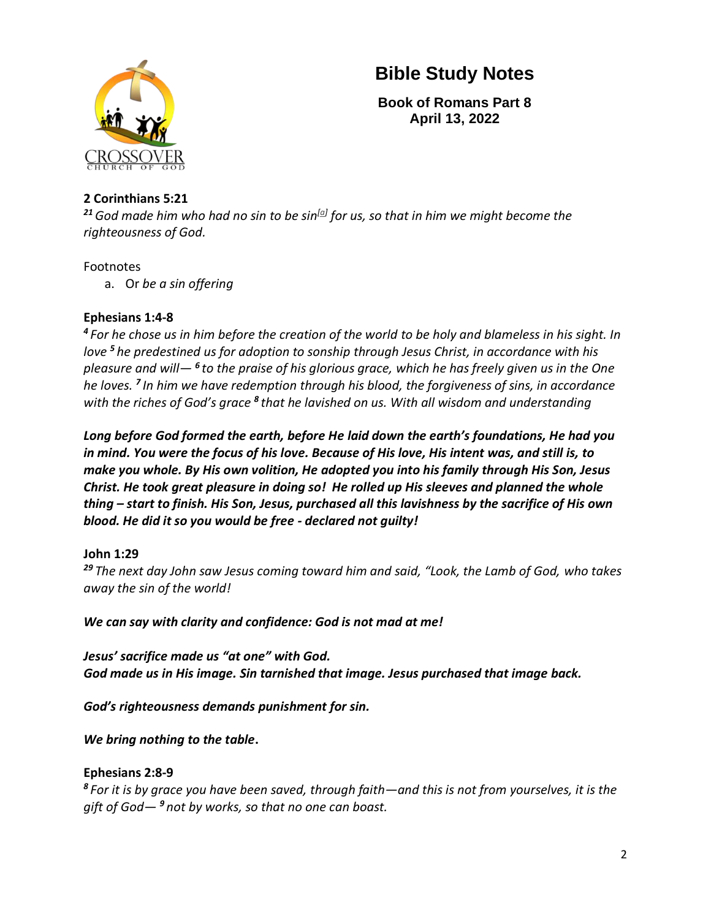

**Book of Romans Part 8 April 13, 2022**

#### **2 Corinthians 5:21**

*<sup>21</sup>God made him who had no sin to be sin[\[a\]](https://www.biblegateway.com/passage/?search=2+Corinthians+5%3A21&version=NIV#fen-NIV-28899a) for us, so that in him we might become the righteousness of God.*

#### Footnotes

a. Or *be a sin offering*

### **Ephesians 1:4-8**

*<sup>4</sup> For he chose us in him before the creation of the world to be holy and blameless in his sight. In love <sup>5</sup> he predestined us for adoption to sonship through Jesus Christ, in accordance with his pleasure and will— <sup>6</sup> to the praise of his glorious grace, which he has freely given us in the One he loves. <sup>7</sup> In him we have redemption through his blood, the forgiveness of sins, in accordance*  with the riches of God's grace <sup>8</sup> that he lavished on us. With all wisdom and understanding

*Long before God formed the earth, before He laid down the earth's foundations, He had you in mind. You were the focus of his love. Because of His love, His intent was, and still is, to make you whole. By His own volition, He adopted you into his family through His Son, Jesus Christ. He took great pleasure in doing so! He rolled up His sleeves and planned the whole thing – start to finish. His Son, Jesus, purchased all this lavishness by the sacrifice of His own blood. He did it so you would be free - declared not guilty!*

### **John 1:29**

*<sup>29</sup> The next day John saw Jesus coming toward him and said, "Look, the Lamb of God, who takes away the sin of the world!*

*We can say with clarity and confidence: God is not mad at me!* 

*Jesus' sacrifice made us "at one" with God. God made us in His image. Sin tarnished that image. Jesus purchased that image back.*

*God's righteousness demands punishment for sin.*

*We bring nothing to the table***.** 

### **Ephesians 2:8-9**

*<sup>8</sup> For it is by grace you have been saved, through faith—and this is not from yourselves, it is the gift of God— <sup>9</sup> not by works, so that no one can boast.*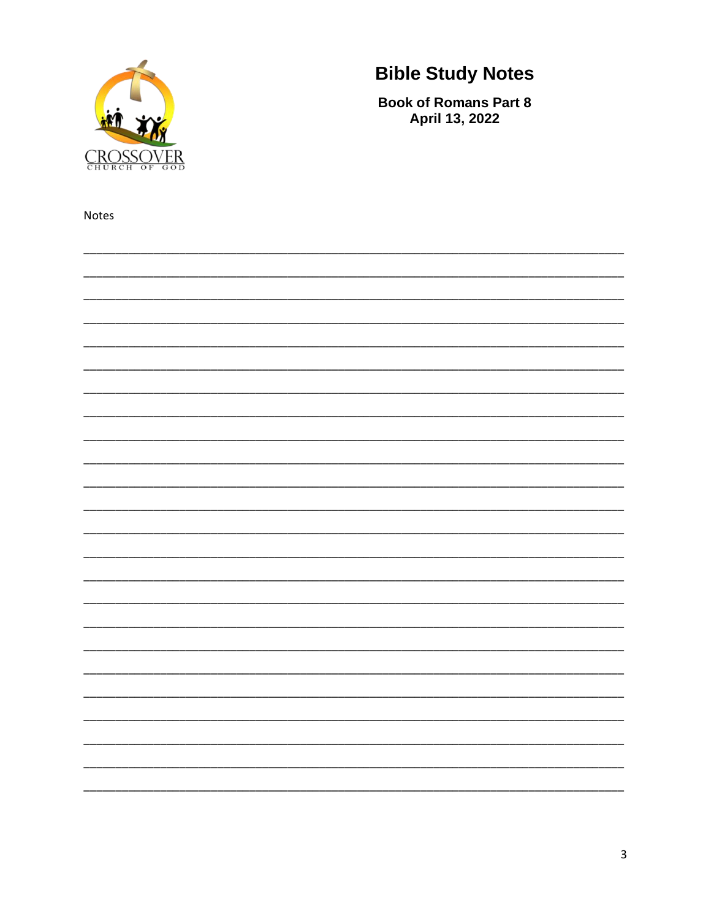

Notes

## **Bible Study Notes**

**Book of Romans Part 8** April 13, 2022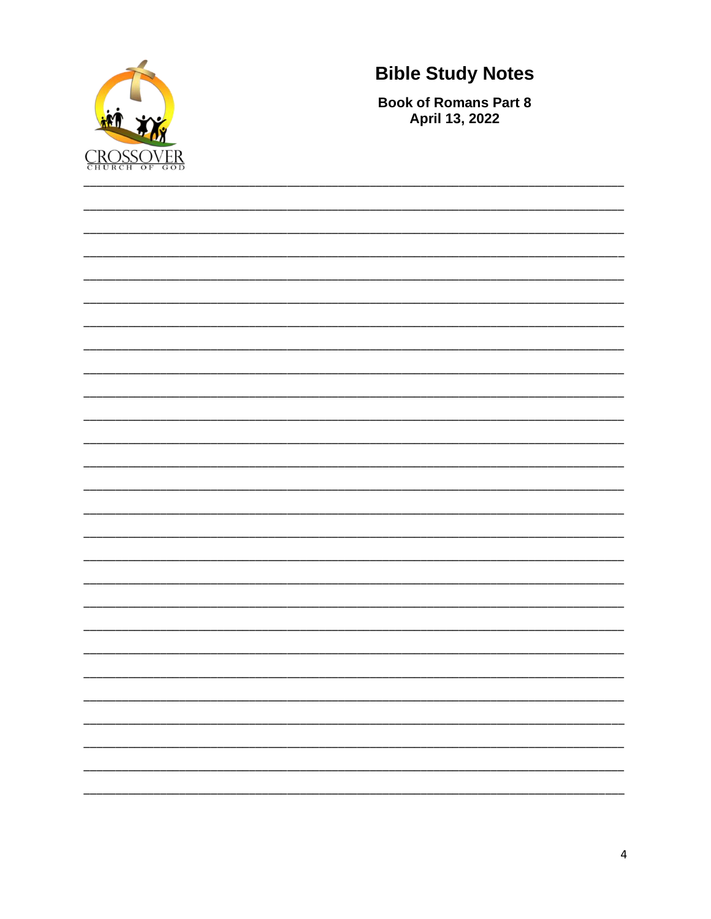

**Book of Romans Part 8** April 13, 2022